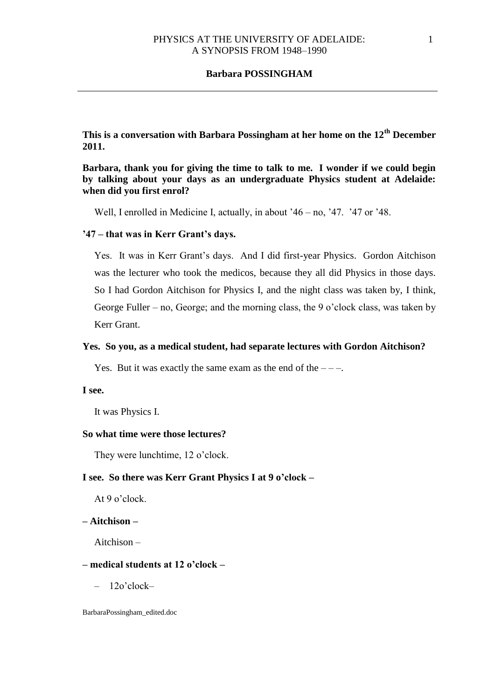**This is a conversation with Barbara Possingham at her home on the 12th December 2011.** 

**Barbara, thank you for giving the time to talk to me. I wonder if we could begin by talking about your days as an undergraduate Physics student at Adelaide: when did you first enrol?**

Well, I enrolled in Medicine I, actually, in about '46 – no, '47. '47 or '48.

# **'47 – that was in Kerr Grant's days.**

Yes. It was in Kerr Grant's days. And I did first-year Physics. Gordon Aitchison was the lecturer who took the medicos, because they all did Physics in those days. So I had Gordon Aitchison for Physics I, and the night class was taken by, I think, George Fuller – no, George; and the morning class, the 9 o'clock class, was taken by Kerr Grant.

## **Yes. So you, as a medical student, had separate lectures with Gordon Aitchison?**

Yes. But it was exactly the same exam as the end of the  $---$ .

#### **I see.**

It was Physics I.

## **So what time were those lectures?**

They were lunchtime, 12 o'clock.

## **I see. So there was Kerr Grant Physics I at 9 o'clock –**

At 9 o'clock.

# **– Aitchison –**

Aitchison –

## **– medical students at 12 o'clock –**

– 12o'clock–

BarbaraPossingham\_edited.doc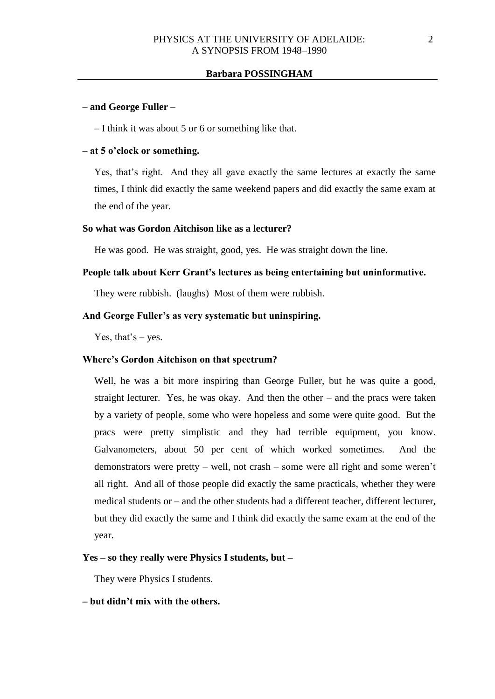## **– and George Fuller –**

– I think it was about 5 or 6 or something like that.

## **– at 5 o'clock or something.**

Yes, that's right. And they all gave exactly the same lectures at exactly the same times, I think did exactly the same weekend papers and did exactly the same exam at the end of the year.

# **So what was Gordon Aitchison like as a lecturer?**

He was good. He was straight, good, yes. He was straight down the line.

# **People talk about Kerr Grant's lectures as being entertaining but uninformative.**

They were rubbish. (laughs) Most of them were rubbish.

## **And George Fuller's as very systematic but uninspiring.**

Yes, that's  $-$  yes.

## **Where's Gordon Aitchison on that spectrum?**

Well, he was a bit more inspiring than George Fuller, but he was quite a good, straight lecturer. Yes, he was okay. And then the other – and the pracs were taken by a variety of people, some who were hopeless and some were quite good. But the pracs were pretty simplistic and they had terrible equipment, you know. Galvanometers, about 50 per cent of which worked sometimes. And the demonstrators were pretty – well, not crash – some were all right and some weren't all right. And all of those people did exactly the same practicals, whether they were medical students or – and the other students had a different teacher, different lecturer, but they did exactly the same and I think did exactly the same exam at the end of the year.

## **Yes – so they really were Physics I students, but –**

They were Physics I students.

## **– but didn't mix with the others.**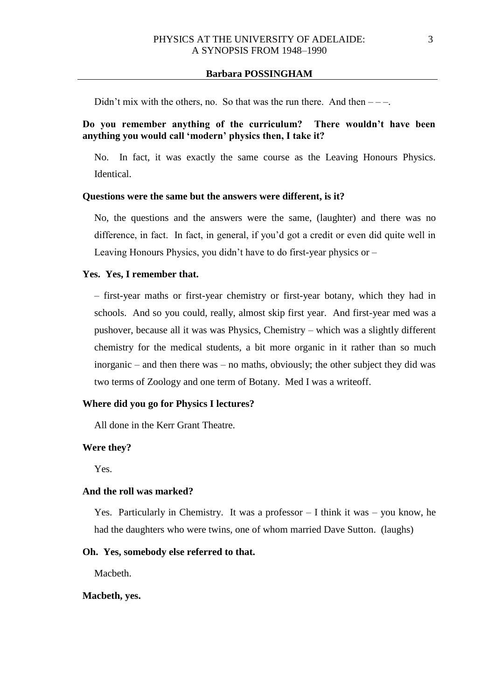Didn't mix with the others, no. So that was the run there. And then  $---$ .

# **Do you remember anything of the curriculum? There wouldn't have been anything you would call 'modern' physics then, I take it?**

No. In fact, it was exactly the same course as the Leaving Honours Physics. Identical.

### **Questions were the same but the answers were different, is it?**

No, the questions and the answers were the same, (laughter) and there was no difference, in fact. In fact, in general, if you'd got a credit or even did quite well in Leaving Honours Physics, you didn't have to do first-year physics or –

#### **Yes. Yes, I remember that.**

– first-year maths or first-year chemistry or first-year botany, which they had in schools. And so you could, really, almost skip first year. And first-year med was a pushover, because all it was was Physics, Chemistry – which was a slightly different chemistry for the medical students, a bit more organic in it rather than so much inorganic – and then there was – no maths, obviously; the other subject they did was two terms of Zoology and one term of Botany. Med I was a writeoff.

# **Where did you go for Physics I lectures?**

All done in the Kerr Grant Theatre.

#### **Were they?**

Yes.

## **And the roll was marked?**

Yes. Particularly in Chemistry. It was a professor – I think it was – you know, he had the daughters who were twins, one of whom married Dave Sutton. (laughs)

## **Oh. Yes, somebody else referred to that.**

Macbeth.

### **Macbeth, yes.**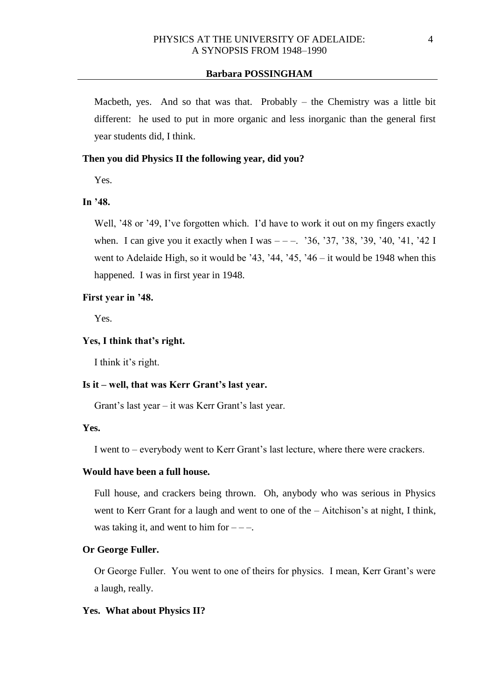Macbeth, yes. And so that was that. Probably  $-$  the Chemistry was a little bit different: he used to put in more organic and less inorganic than the general first year students did, I think.

### **Then you did Physics II the following year, did you?**

Yes.

# **In '48.**

Well, '48 or '49, I've forgotten which. I'd have to work it out on my fingers exactly when. I can give you it exactly when I was  $---$ . '36, '37, '38, '39, '40, '41, '42 I went to Adelaide High, so it would be '43, '44, '45, '46 – it would be 1948 when this happened. I was in first year in 1948.

#### **First year in '48.**

Yes.

# **Yes, I think that's right.**

I think it's right.

#### **Is it – well, that was Kerr Grant's last year.**

Grant's last year – it was Kerr Grant's last year.

# **Yes.**

I went to – everybody went to Kerr Grant's last lecture, where there were crackers.

# **Would have been a full house.**

Full house, and crackers being thrown. Oh, anybody who was serious in Physics went to Kerr Grant for a laugh and went to one of the – Aitchison's at night, I think, was taking it, and went to him for  $---$ .

### **Or George Fuller.**

Or George Fuller. You went to one of theirs for physics. I mean, Kerr Grant's were a laugh, really.

## **Yes. What about Physics II?**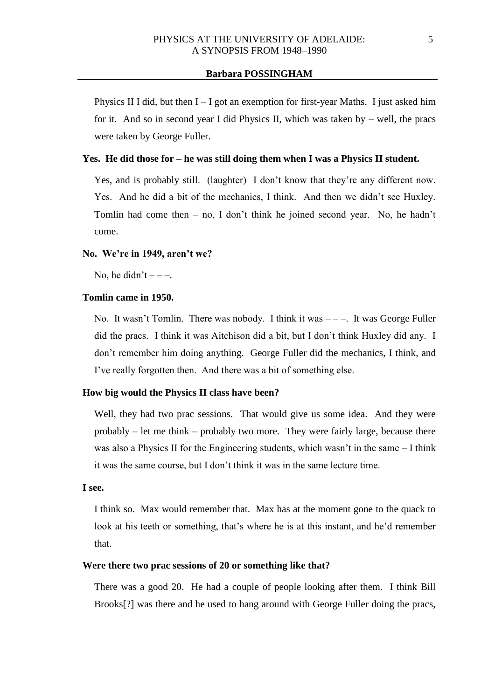Physics II I did, but then  $I - I$  got an exemption for first-year Maths. I just asked him for it. And so in second year I did Physics II, which was taken by – well, the pracs were taken by George Fuller.

## **Yes. He did those for – he was still doing them when I was a Physics II student.**

Yes, and is probably still. (laughter) I don't know that they're any different now. Yes. And he did a bit of the mechanics, I think. And then we didn't see Huxley. Tomlin had come then – no, I don't think he joined second year. No, he hadn't come.

#### **No. We're in 1949, aren't we?**

No, he didn't  $---$ .

# **Tomlin came in 1950.**

No. It wasn't Tomlin. There was nobody. I think it was  $---$ . It was George Fuller did the pracs. I think it was Aitchison did a bit, but I don't think Huxley did any. I don't remember him doing anything. George Fuller did the mechanics, I think, and I've really forgotten then. And there was a bit of something else.

## **How big would the Physics II class have been?**

Well, they had two prac sessions. That would give us some idea. And they were probably – let me think – probably two more. They were fairly large, because there was also a Physics II for the Engineering students, which wasn't in the same – I think it was the same course, but I don't think it was in the same lecture time.

# **I see.**

I think so. Max would remember that. Max has at the moment gone to the quack to look at his teeth or something, that's where he is at this instant, and he'd remember that.

#### **Were there two prac sessions of 20 or something like that?**

There was a good 20. He had a couple of people looking after them. I think Bill Brooks[?] was there and he used to hang around with George Fuller doing the pracs,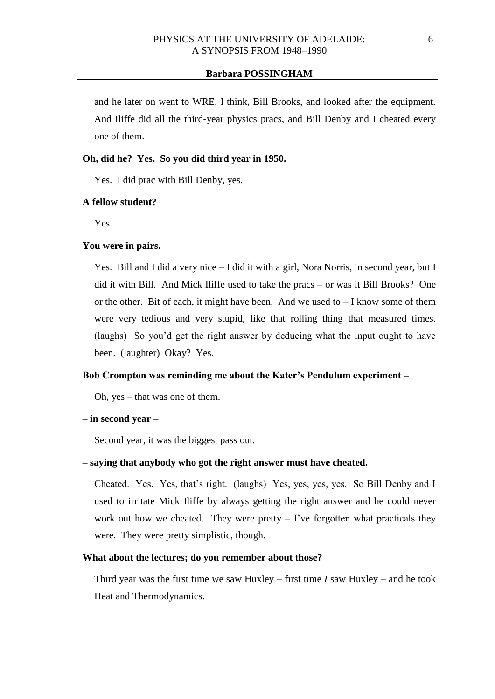and he later on went to WRE, I think, Bill Brooks, and looked after the equipment. And Iliffe did all the third-year physics pracs, and Bill Denby and I cheated every one of them.

# **Oh, did he? Yes. So you did third year in 1950.**

Yes. I did prac with Bill Denby, yes.

#### **A fellow student?**

Yes.

# **You were in pairs.**

Yes. Bill and I did a very nice – I did it with a girl, Nora Norris, in second year, but I did it with Bill. And Mick Iliffe used to take the pracs – or was it Bill Brooks? One or the other. Bit of each, it might have been. And we used to  $-I$  know some of them were very tedious and very stupid, like that rolling thing that measured times. (laughs) So you'd get the right answer by deducing what the input ought to have been. (laughter) Okay? Yes.

#### **Bob Crompton was reminding me about the Kater's Pendulum experiment –**

Oh, yes – that was one of them.

#### **– in second year –**

Second year, it was the biggest pass out.

## **– saying that anybody who got the right answer must have cheated.**

Cheated. Yes. Yes, that's right. (laughs) Yes, yes, yes, yes. So Bill Denby and I used to irritate Mick Iliffe by always getting the right answer and he could never work out how we cheated. They were pretty  $-$  I've forgotten what practicals they were. They were pretty simplistic, though.

## **What about the lectures; do you remember about those?**

Third year was the first time we saw Huxley – first time *I* saw Huxley – and he took Heat and Thermodynamics.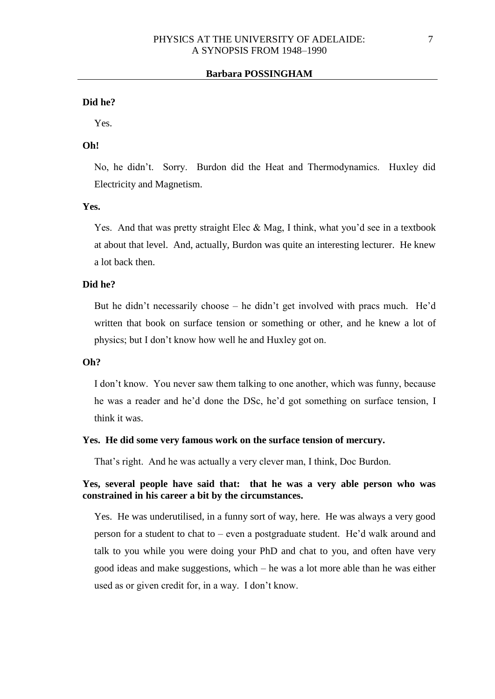#### **Did he?**

Yes.

# **Oh!**

No, he didn't. Sorry. Burdon did the Heat and Thermodynamics. Huxley did Electricity and Magnetism.

## **Yes.**

Yes. And that was pretty straight Elec & Mag, I think, what you'd see in a textbook at about that level. And, actually, Burdon was quite an interesting lecturer. He knew a lot back then.

#### **Did he?**

But he didn't necessarily choose – he didn't get involved with pracs much. He'd written that book on surface tension or something or other, and he knew a lot of physics; but I don't know how well he and Huxley got on.

# **Oh?**

I don't know. You never saw them talking to one another, which was funny, because he was a reader and he'd done the DSc, he'd got something on surface tension, I think it was.

## **Yes. He did some very famous work on the surface tension of mercury.**

That's right. And he was actually a very clever man, I think, Doc Burdon.

# **Yes, several people have said that: that he was a very able person who was constrained in his career a bit by the circumstances.**

Yes. He was underutilised, in a funny sort of way, here. He was always a very good person for a student to chat to – even a postgraduate student. He'd walk around and talk to you while you were doing your PhD and chat to you, and often have very good ideas and make suggestions, which – he was a lot more able than he was either used as or given credit for, in a way. I don't know.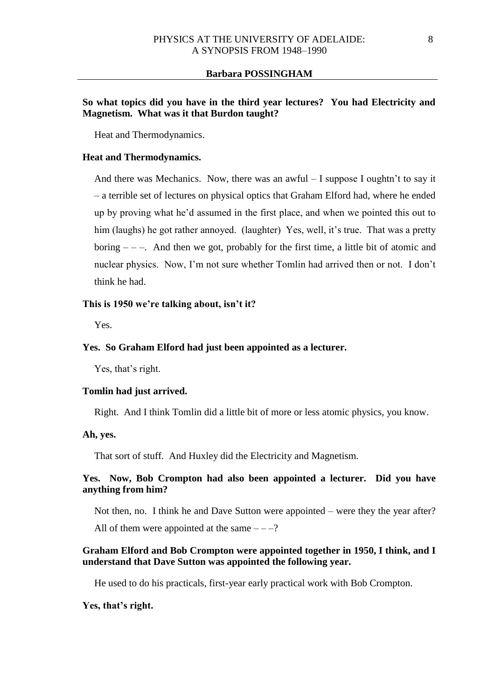# **So what topics did you have in the third year lectures? You had Electricity and Magnetism. What was it that Burdon taught?**

Heat and Thermodynamics.

## **Heat and Thermodynamics.**

And there was Mechanics. Now, there was an awful – I suppose I oughtn't to say it – a terrible set of lectures on physical optics that Graham Elford had, where he ended up by proving what he'd assumed in the first place, and when we pointed this out to him (laughs) he got rather annoyed. (laughter) Yes, well, it's true. That was a pretty boring  $---$ . And then we got, probably for the first time, a little bit of atomic and nuclear physics. Now, I'm not sure whether Tomlin had arrived then or not. I don't think he had.

## **This is 1950 we're talking about, isn't it?**

Yes.

# **Yes. So Graham Elford had just been appointed as a lecturer.**

Yes, that's right.

# **Tomlin had just arrived.**

Right. And I think Tomlin did a little bit of more or less atomic physics, you know.

# **Ah, yes.**

That sort of stuff. And Huxley did the Electricity and Magnetism.

# **Yes. Now, Bob Crompton had also been appointed a lecturer. Did you have anything from him?**

Not then, no. I think he and Dave Sutton were appointed – were they the year after?

All of them were appointed at the same  $---?$ 

# **Graham Elford and Bob Crompton were appointed together in 1950, I think, and I understand that Dave Sutton was appointed the following year.**

He used to do his practicals, first-year early practical work with Bob Crompton.

## **Yes, that's right.**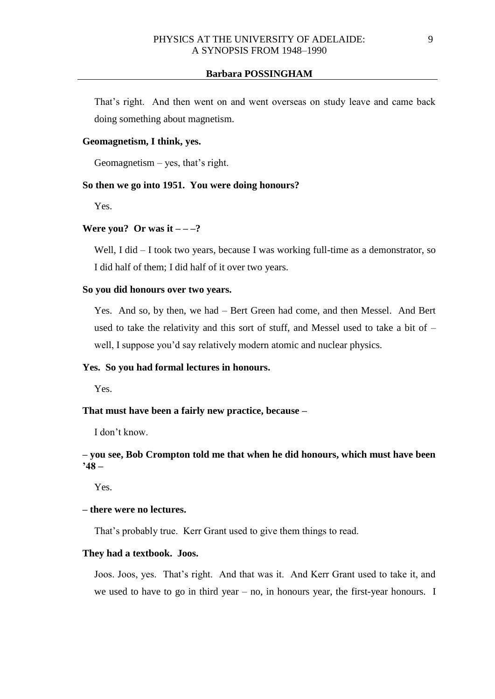That's right. And then went on and went overseas on study leave and came back doing something about magnetism.

# **Geomagnetism, I think, yes.**

Geomagnetism – yes, that's right.

## **So then we go into 1951. You were doing honours?**

Yes.

### **Were you?** Or was it  $---?$

Well, I did – I took two years, because I was working full-time as a demonstrator, so I did half of them; I did half of it over two years.

# **So you did honours over two years.**

Yes. And so, by then, we had – Bert Green had come, and then Messel. And Bert used to take the relativity and this sort of stuff, and Messel used to take a bit of  $$ well, I suppose you'd say relatively modern atomic and nuclear physics.

## **Yes. So you had formal lectures in honours.**

Yes.

# **That must have been a fairly new practice, because –**

I don't know.

# **– you see, Bob Crompton told me that when he did honours, which must have been '48 –**

Yes.

# **– there were no lectures.**

That's probably true. Kerr Grant used to give them things to read.

# **They had a textbook. Joos.**

Joos. Joos, yes. That's right. And that was it. And Kerr Grant used to take it, and we used to have to go in third year – no, in honours year, the first-year honours. I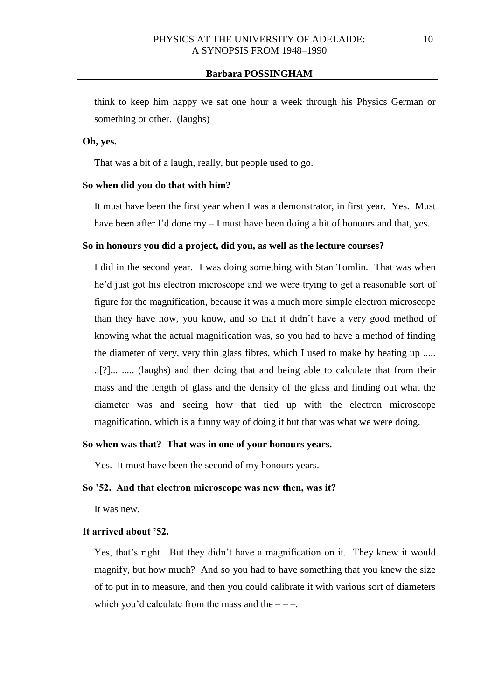think to keep him happy we sat one hour a week through his Physics German or something or other. (laughs)

# **Oh, yes.**

That was a bit of a laugh, really, but people used to go.

#### **So when did you do that with him?**

It must have been the first year when I was a demonstrator, in first year. Yes. Must have been after I'd done my – I must have been doing a bit of honours and that, yes.

## **So in honours you did a project, did you, as well as the lecture courses?**

I did in the second year. I was doing something with Stan Tomlin. That was when he'd just got his electron microscope and we were trying to get a reasonable sort of figure for the magnification, because it was a much more simple electron microscope than they have now, you know, and so that it didn't have a very good method of knowing what the actual magnification was, so you had to have a method of finding the diameter of very, very thin glass fibres, which I used to make by heating up ..... ..[?]... ..... (laughs) and then doing that and being able to calculate that from their mass and the length of glass and the density of the glass and finding out what the diameter was and seeing how that tied up with the electron microscope magnification, which is a funny way of doing it but that was what we were doing.

## **So when was that? That was in one of your honours years.**

Yes. It must have been the second of my honours years.

## **So '52. And that electron microscope was new then, was it?**

It was new.

#### **It arrived about '52.**

Yes, that's right. But they didn't have a magnification on it. They knew it would magnify, but how much? And so you had to have something that you knew the size of to put in to measure, and then you could calibrate it with various sort of diameters which you'd calculate from the mass and the  $---$ .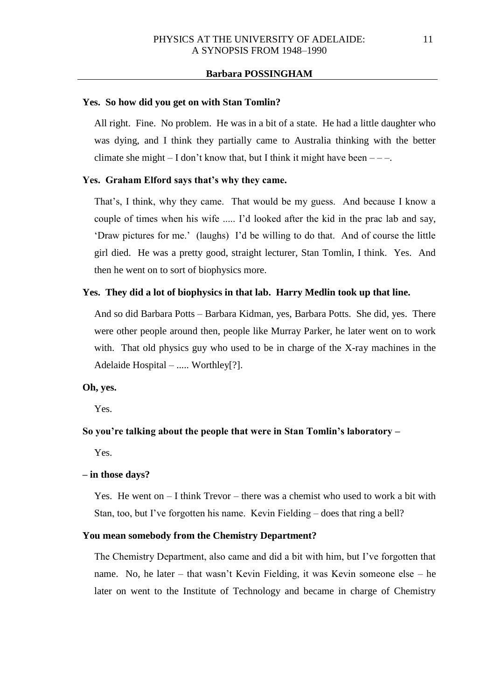#### **Yes. So how did you get on with Stan Tomlin?**

All right. Fine. No problem. He was in a bit of a state. He had a little daughter who was dying, and I think they partially came to Australia thinking with the better climate she might  $- I$  don't know that, but I think it might have been  $---$ .

## **Yes. Graham Elford says that's why they came.**

That's, I think, why they came. That would be my guess. And because I know a couple of times when his wife ..... I'd looked after the kid in the prac lab and say, 'Draw pictures for me.' (laughs) I'd be willing to do that. And of course the little girl died. He was a pretty good, straight lecturer, Stan Tomlin, I think. Yes. And then he went on to sort of biophysics more.

## **Yes. They did a lot of biophysics in that lab. Harry Medlin took up that line.**

And so did Barbara Potts – Barbara Kidman, yes, Barbara Potts. She did, yes. There were other people around then, people like Murray Parker, he later went on to work with. That old physics guy who used to be in charge of the X-ray machines in the Adelaide Hospital – ..... Worthley[?].

## **Oh, yes.**

Yes.

## **So you're talking about the people that were in Stan Tomlin's laboratory –**

Yes.

#### **– in those days?**

Yes. He went on  $-I$  think Trevor – there was a chemist who used to work a bit with Stan, too, but I've forgotten his name. Kevin Fielding – does that ring a bell?

### **You mean somebody from the Chemistry Department?**

The Chemistry Department, also came and did a bit with him, but I've forgotten that name. No, he later – that wasn't Kevin Fielding, it was Kevin someone else – he later on went to the Institute of Technology and became in charge of Chemistry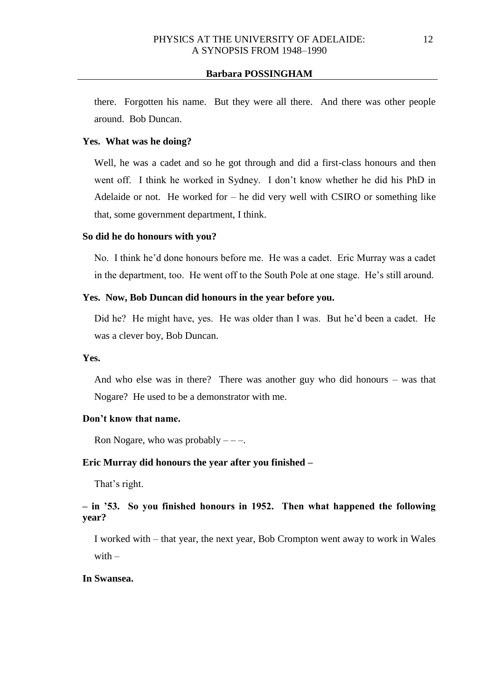there. Forgotten his name. But they were all there. And there was other people around. Bob Duncan.

## **Yes. What was he doing?**

Well, he was a cadet and so he got through and did a first-class honours and then went off. I think he worked in Sydney. I don't know whether he did his PhD in Adelaide or not. He worked for – he did very well with CSIRO or something like that, some government department, I think.

## **So did he do honours with you?**

No. I think he'd done honours before me. He was a cadet. Eric Murray was a cadet in the department, too. He went off to the South Pole at one stage. He's still around.

# **Yes. Now, Bob Duncan did honours in the year before you.**

Did he? He might have, yes. He was older than I was. But he'd been a cadet. He was a clever boy, Bob Duncan.

#### **Yes.**

And who else was in there? There was another guy who did honours – was that Nogare? He used to be a demonstrator with me.

# **Don't know that name.**

Ron Nogare, who was probably  $---$ .

## **Eric Murray did honours the year after you finished –**

That's right.

# **– in '53. So you finished honours in 1952. Then what happened the following year?**

I worked with – that year, the next year, Bob Crompton went away to work in Wales with  $-$ 

## **In Swansea.**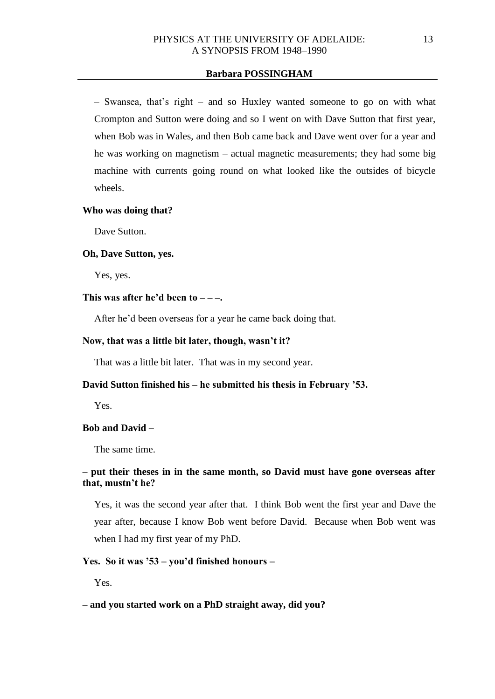– Swansea, that's right – and so Huxley wanted someone to go on with what Crompton and Sutton were doing and so I went on with Dave Sutton that first year, when Bob was in Wales, and then Bob came back and Dave went over for a year and he was working on magnetism – actual magnetic measurements; they had some big machine with currents going round on what looked like the outsides of bicycle wheels.

#### **Who was doing that?**

Dave Sutton.

#### **Oh, Dave Sutton, yes.**

Yes, yes.

## This was after he'd been to  $---$

After he'd been overseas for a year he came back doing that.

#### **Now, that was a little bit later, though, wasn't it?**

That was a little bit later. That was in my second year.

#### **David Sutton finished his – he submitted his thesis in February '53.**

Yes.

## **Bob and David –**

The same time.

# **– put their theses in in the same month, so David must have gone overseas after that, mustn't he?**

Yes, it was the second year after that. I think Bob went the first year and Dave the year after, because I know Bob went before David. Because when Bob went was when I had my first year of my PhD.

## **Yes. So it was '53 – you'd finished honours –**

Yes.

#### **– and you started work on a PhD straight away, did you?**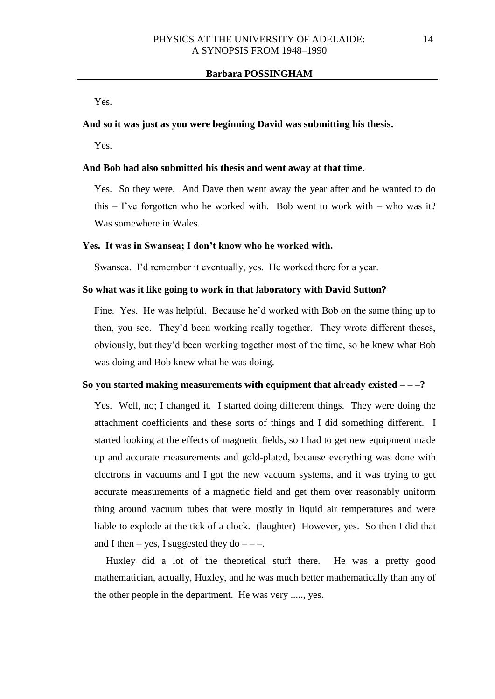Yes.

# **And so it was just as you were beginning David was submitting his thesis.**

Yes.

#### **And Bob had also submitted his thesis and went away at that time.**

Yes. So they were. And Dave then went away the year after and he wanted to do this  $-$  I've forgotten who he worked with. Bob went to work with  $-$  who was it? Was somewhere in Wales.

#### **Yes. It was in Swansea; I don't know who he worked with.**

Swansea. I'd remember it eventually, yes. He worked there for a year.

## **So what was it like going to work in that laboratory with David Sutton?**

Fine. Yes. He was helpful. Because he'd worked with Bob on the same thing up to then, you see. They'd been working really together. They wrote different theses, obviously, but they'd been working together most of the time, so he knew what Bob was doing and Bob knew what he was doing.

#### **So you started making measurements with equipment that already existed – – –?**

Yes. Well, no; I changed it. I started doing different things. They were doing the attachment coefficients and these sorts of things and I did something different. I started looking at the effects of magnetic fields, so I had to get new equipment made up and accurate measurements and gold-plated, because everything was done with electrons in vacuums and I got the new vacuum systems, and it was trying to get accurate measurements of a magnetic field and get them over reasonably uniform thing around vacuum tubes that were mostly in liquid air temperatures and were liable to explode at the tick of a clock. (laughter) However, yes. So then I did that and I then – yes, I suggested they do – – –.

Huxley did a lot of the theoretical stuff there. He was a pretty good mathematician, actually, Huxley, and he was much better mathematically than any of the other people in the department. He was very ....., yes.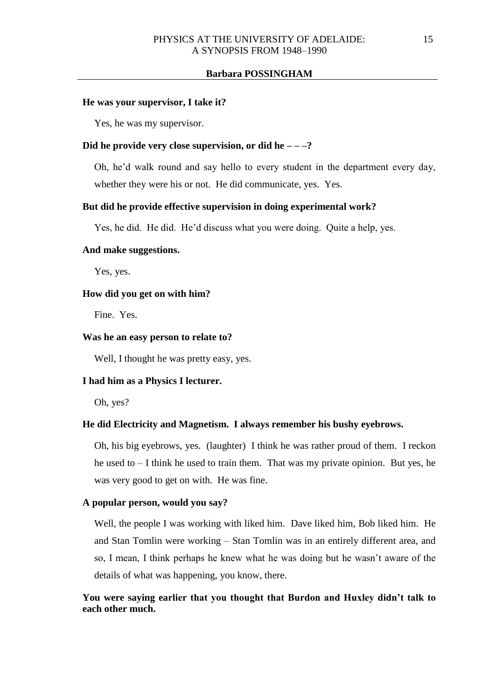#### **He was your supervisor, I take it?**

Yes, he was my supervisor.

## **Did he provide very close supervision, or did he – – –?**

Oh, he'd walk round and say hello to every student in the department every day, whether they were his or not. He did communicate, yes. Yes.

#### **But did he provide effective supervision in doing experimental work?**

Yes, he did. He did. He'd discuss what you were doing. Quite a help, yes.

# **And make suggestions.**

Yes, yes.

#### **How did you get on with him?**

Fine. Yes.

#### **Was he an easy person to relate to?**

Well, I thought he was pretty easy, yes.

# **I had him as a Physics I lecturer.**

Oh, yes?

#### **He did Electricity and Magnetism. I always remember his bushy eyebrows.**

Oh, his big eyebrows, yes. (laughter) I think he was rather proud of them. I reckon he used to – I think he used to train them. That was my private opinion. But yes, he was very good to get on with. He was fine.

#### **A popular person, would you say?**

Well, the people I was working with liked him. Dave liked him, Bob liked him. He and Stan Tomlin were working – Stan Tomlin was in an entirely different area, and so, I mean, I think perhaps he knew what he was doing but he wasn't aware of the details of what was happening, you know, there.

# **You were saying earlier that you thought that Burdon and Huxley didn't talk to each other much.**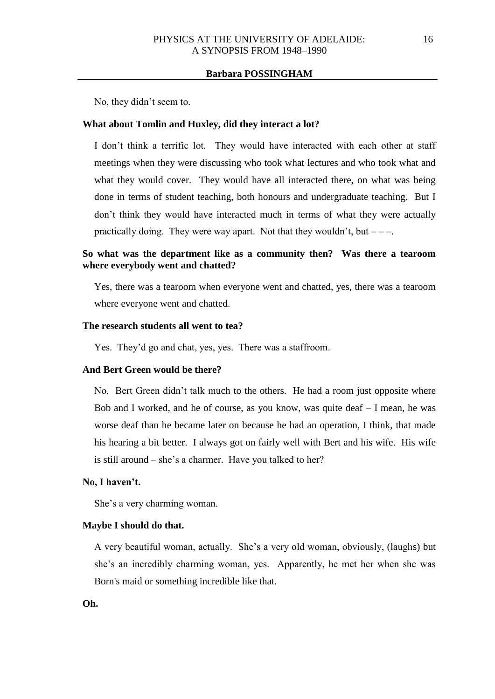No, they didn't seem to.

#### **What about Tomlin and Huxley, did they interact a lot?**

I don't think a terrific lot. They would have interacted with each other at staff meetings when they were discussing who took what lectures and who took what and what they would cover. They would have all interacted there, on what was being done in terms of student teaching, both honours and undergraduate teaching. But I don't think they would have interacted much in terms of what they were actually practically doing. They were way apart. Not that they wouldn't, but  $---$ .

# **So what was the department like as a community then? Was there a tearoom where everybody went and chatted?**

Yes, there was a tearoom when everyone went and chatted, yes, there was a tearoom where everyone went and chatted.

# **The research students all went to tea?**

Yes. They'd go and chat, yes, yes. There was a staffroom.

# **And Bert Green would be there?**

No. Bert Green didn't talk much to the others. He had a room just opposite where Bob and I worked, and he of course, as you know, was quite deaf – I mean, he was worse deaf than he became later on because he had an operation, I think, that made his hearing a bit better. I always got on fairly well with Bert and his wife. His wife is still around – she's a charmer. Have you talked to her?

#### **No, I haven't.**

She's a very charming woman.

## **Maybe I should do that.**

A very beautiful woman, actually. She's a very old woman, obviously, (laughs) but she's an incredibly charming woman, yes. Apparently, he met her when she was Born's maid or something incredible like that.

**Oh.**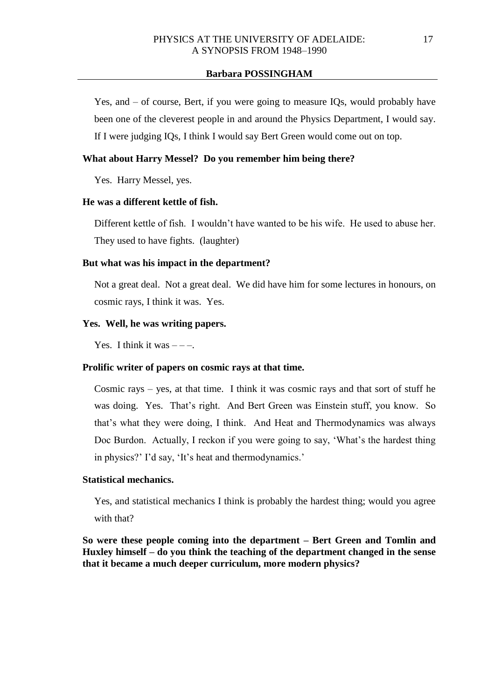Yes, and – of course, Bert, if you were going to measure IQs, would probably have been one of the cleverest people in and around the Physics Department, I would say. If I were judging IQs, I think I would say Bert Green would come out on top.

# **What about Harry Messel? Do you remember him being there?**

Yes. Harry Messel, yes.

# **He was a different kettle of fish.**

Different kettle of fish I wouldn't have wanted to be his wife. He used to abuse her. They used to have fights. (laughter)

## **But what was his impact in the department?**

Not a great deal. Not a great deal. We did have him for some lectures in honours, on cosmic rays, I think it was. Yes.

# **Yes. Well, he was writing papers.**

Yes. I think it was  $---$ .

## **Prolific writer of papers on cosmic rays at that time.**

Cosmic rays – yes, at that time. I think it was cosmic rays and that sort of stuff he was doing. Yes. That's right. And Bert Green was Einstein stuff, you know. So that's what they were doing, I think. And Heat and Thermodynamics was always Doc Burdon. Actually, I reckon if you were going to say, 'What's the hardest thing in physics?' I'd say, 'It's heat and thermodynamics.'

## **Statistical mechanics.**

Yes, and statistical mechanics I think is probably the hardest thing; would you agree with that?

**So were these people coming into the department – Bert Green and Tomlin and Huxley himself – do you think the teaching of the department changed in the sense that it became a much deeper curriculum, more modern physics?**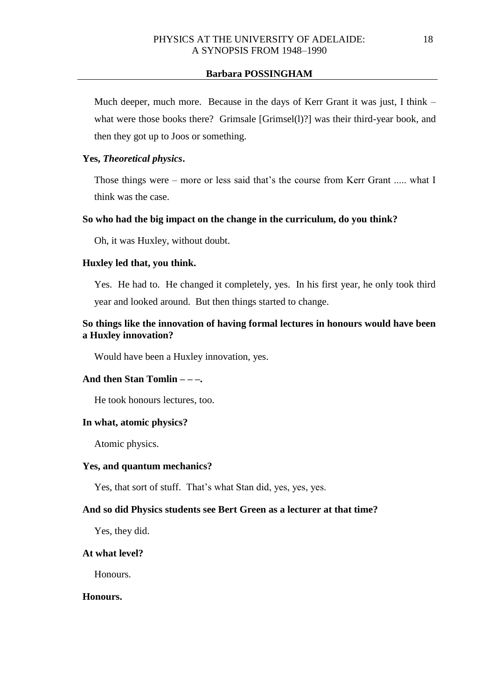Much deeper, much more. Because in the days of Kerr Grant it was just, I think – what were those books there? Grimsale [Grimsel(1)?] was their third-year book, and then they got up to Joos or something.

# **Yes,** *Theoretical physics***.**

Those things were – more or less said that's the course from Kerr Grant ..... what I think was the case.

## **So who had the big impact on the change in the curriculum, do you think?**

Oh, it was Huxley, without doubt.

#### **Huxley led that, you think.**

Yes. He had to. He changed it completely, yes. In his first year, he only took third year and looked around. But then things started to change.

# **So things like the innovation of having formal lectures in honours would have been a Huxley innovation?**

Would have been a Huxley innovation, yes.

# **And then Stan Tomlin – – –.**

He took honours lectures, too.

### **In what, atomic physics?**

Atomic physics.

#### **Yes, and quantum mechanics?**

Yes, that sort of stuff. That's what Stan did, yes, yes, yes.

## **And so did Physics students see Bert Green as a lecturer at that time?**

Yes, they did.

# **At what level?**

Honours.

## **Honours.**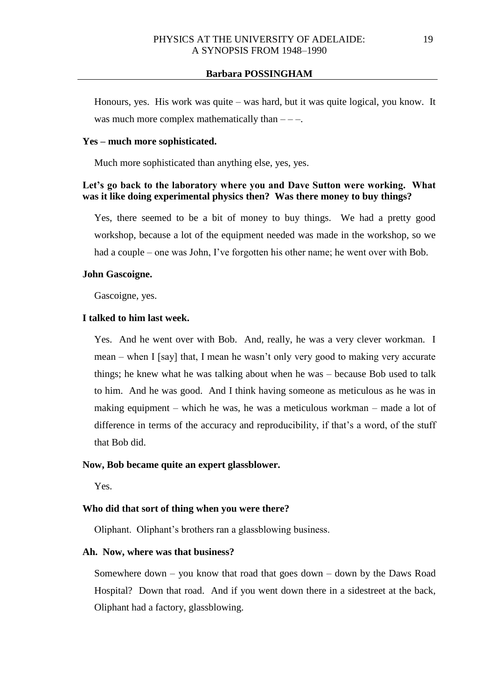Honours, yes. His work was quite – was hard, but it was quite logical, you know. It was much more complex mathematically than  $---$ .

# **Yes – much more sophisticated.**

Much more sophisticated than anything else, yes, yes.

# **Let's go back to the laboratory where you and Dave Sutton were working. What was it like doing experimental physics then? Was there money to buy things?**

Yes, there seemed to be a bit of money to buy things. We had a pretty good workshop, because a lot of the equipment needed was made in the workshop, so we had a couple – one was John, I've forgotten his other name; he went over with Bob.

#### **John Gascoigne.**

Gascoigne, yes.

# **I talked to him last week.**

Yes. And he went over with Bob. And, really, he was a very clever workman. I mean – when I [say] that, I mean he wasn't only very good to making very accurate things; he knew what he was talking about when he was – because Bob used to talk to him. And he was good. And I think having someone as meticulous as he was in making equipment – which he was, he was a meticulous workman – made a lot of difference in terms of the accuracy and reproducibility, if that's a word, of the stuff that Bob did.

### **Now, Bob became quite an expert glassblower.**

Yes.

## **Who did that sort of thing when you were there?**

Oliphant. Oliphant's brothers ran a glassblowing business.

## **Ah. Now, where was that business?**

Somewhere down – you know that road that goes down – down by the Daws Road Hospital? Down that road. And if you went down there in a sidestreet at the back, Oliphant had a factory, glassblowing.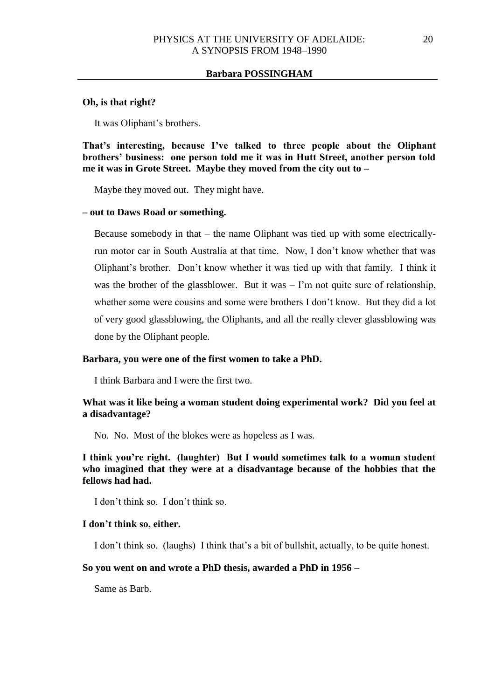## **Oh, is that right?**

It was Oliphant's brothers.

**That's interesting, because I've talked to three people about the Oliphant brothers' business: one person told me it was in Hutt Street, another person told me it was in Grote Street. Maybe they moved from the city out to –**

Maybe they moved out. They might have.

#### **– out to Daws Road or something.**

Because somebody in that – the name Oliphant was tied up with some electricallyrun motor car in South Australia at that time. Now, I don't know whether that was Oliphant's brother. Don't know whether it was tied up with that family. I think it was the brother of the glassblower. But it was  $-1$ 'm not quite sure of relationship, whether some were cousins and some were brothers I don't know. But they did a lot of very good glassblowing, the Oliphants, and all the really clever glassblowing was done by the Oliphant people.

### **Barbara, you were one of the first women to take a PhD.**

I think Barbara and I were the first two.

## **What was it like being a woman student doing experimental work? Did you feel at a disadvantage?**

No. No. Most of the blokes were as hopeless as I was.

**I think you're right. (laughter) But I would sometimes talk to a woman student who imagined that they were at a disadvantage because of the hobbies that the fellows had had.**

I don't think so. I don't think so.

## **I don't think so, either.**

I don't think so. (laughs) I think that's a bit of bullshit, actually, to be quite honest.

#### **So you went on and wrote a PhD thesis, awarded a PhD in 1956 –**

Same as Barb.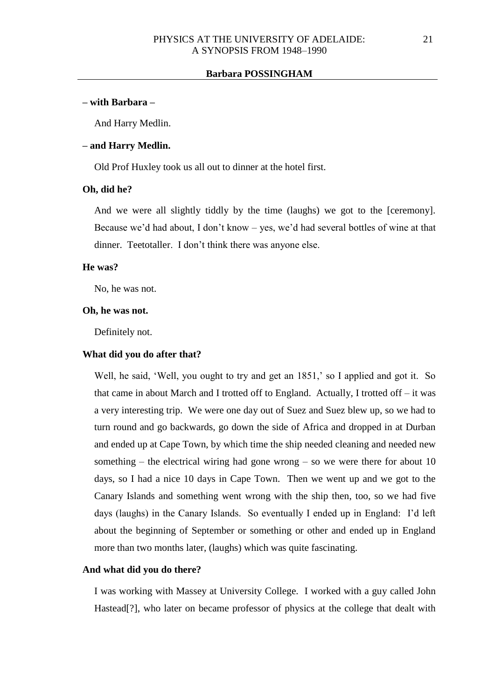#### **– with Barbara –**

And Harry Medlin.

## **– and Harry Medlin.**

Old Prof Huxley took us all out to dinner at the hotel first.

#### **Oh, did he?**

And we were all slightly tiddly by the time (laughs) we got to the [ceremony]. Because we'd had about, I don't know – yes, we'd had several bottles of wine at that dinner. Teetotaller. I don't think there was anyone else.

## **He was?**

No, he was not.

#### **Oh, he was not.**

Definitely not.

## **What did you do after that?**

Well, he said, 'Well, you ought to try and get an 1851,' so I applied and got it. So that came in about March and I trotted off to England. Actually, I trotted off – it was a very interesting trip. We were one day out of Suez and Suez blew up, so we had to turn round and go backwards, go down the side of Africa and dropped in at Durban and ended up at Cape Town, by which time the ship needed cleaning and needed new something – the electrical wiring had gone wrong – so we were there for about 10 days, so I had a nice 10 days in Cape Town. Then we went up and we got to the Canary Islands and something went wrong with the ship then, too, so we had five days (laughs) in the Canary Islands. So eventually I ended up in England: I'd left about the beginning of September or something or other and ended up in England more than two months later, (laughs) which was quite fascinating.

#### **And what did you do there?**

I was working with Massey at University College. I worked with a guy called John Hastead[?], who later on became professor of physics at the college that dealt with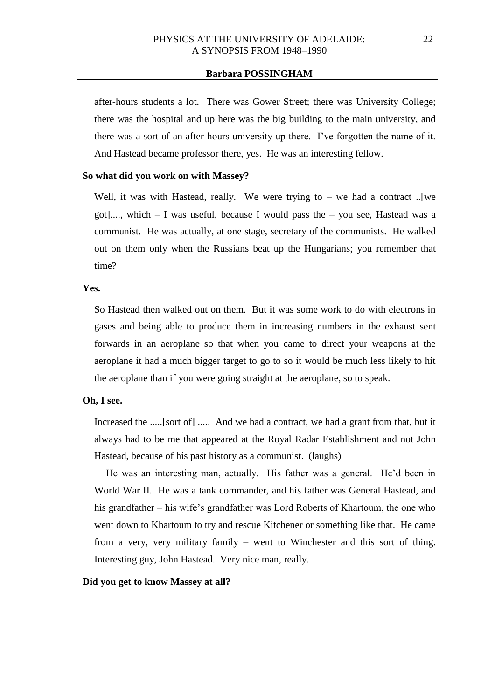after-hours students a lot. There was Gower Street; there was University College; there was the hospital and up here was the big building to the main university, and there was a sort of an after-hours university up there. I've forgotten the name of it. And Hastead became professor there, yes. He was an interesting fellow.

### **So what did you work on with Massey?**

Well, it was with Hastead, really. We were trying to  $-$  we had a contract ... [we got]...., which – I was useful, because I would pass the – you see, Hastead was a communist. He was actually, at one stage, secretary of the communists. He walked out on them only when the Russians beat up the Hungarians; you remember that time?

#### **Yes.**

So Hastead then walked out on them. But it was some work to do with electrons in gases and being able to produce them in increasing numbers in the exhaust sent forwards in an aeroplane so that when you came to direct your weapons at the aeroplane it had a much bigger target to go to so it would be much less likely to hit the aeroplane than if you were going straight at the aeroplane, so to speak.

## **Oh, I see.**

Increased the .....[sort of] ..... And we had a contract, we had a grant from that, but it always had to be me that appeared at the Royal Radar Establishment and not John Hastead, because of his past history as a communist. (laughs)

He was an interesting man, actually. His father was a general. He'd been in World War II. He was a tank commander, and his father was General Hastead, and his grandfather – his wife's grandfather was Lord Roberts of Khartoum, the one who went down to Khartoum to try and rescue Kitchener or something like that. He came from a very, very military family – went to Winchester and this sort of thing. Interesting guy, John Hastead. Very nice man, really.

### **Did you get to know Massey at all?**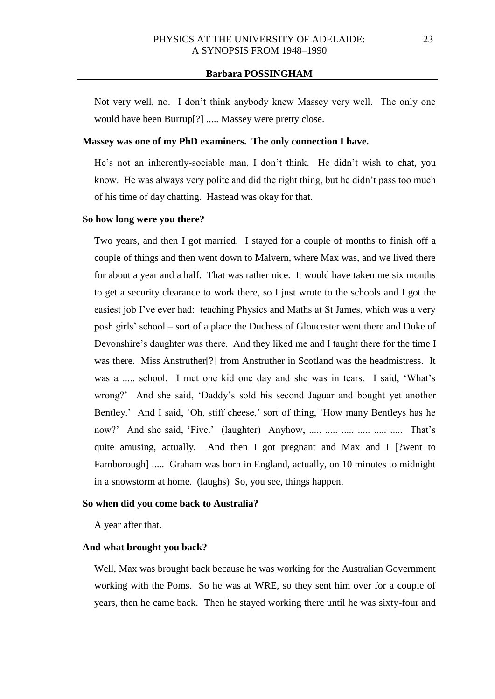Not very well, no. I don't think anybody knew Massey very well. The only one would have been Burrup[?] ..... Massey were pretty close.

# **Massey was one of my PhD examiners. The only connection I have.**

He's not an inherently-sociable man, I don't think. He didn't wish to chat, you know. He was always very polite and did the right thing, but he didn't pass too much of his time of day chatting. Hastead was okay for that.

## **So how long were you there?**

Two years, and then I got married. I stayed for a couple of months to finish off a couple of things and then went down to Malvern, where Max was, and we lived there for about a year and a half. That was rather nice. It would have taken me six months to get a security clearance to work there, so I just wrote to the schools and I got the easiest job I've ever had: teaching Physics and Maths at St James, which was a very posh girls' school – sort of a place the Duchess of Gloucester went there and Duke of Devonshire's daughter was there. And they liked me and I taught there for the time I was there. Miss Anstruther<sup>[?]</sup> from Anstruther in Scotland was the headmistress. It was a ..... school. I met one kid one day and she was in tears. I said, 'What's wrong?' And she said, 'Daddy's sold his second Jaguar and bought yet another Bentley.' And I said, 'Oh, stiff cheese,' sort of thing, 'How many Bentleys has he now?' And she said, 'Five.' (laughter) Anyhow, ..... ..... ..... ..... ..... That's quite amusing, actually. And then I got pregnant and Max and I [?went to Farnborough] ..... Graham was born in England, actually, on 10 minutes to midnight in a snowstorm at home. (laughs) So, you see, things happen.

#### **So when did you come back to Australia?**

A year after that.

## **And what brought you back?**

Well, Max was brought back because he was working for the Australian Government working with the Poms. So he was at WRE, so they sent him over for a couple of years, then he came back. Then he stayed working there until he was sixty-four and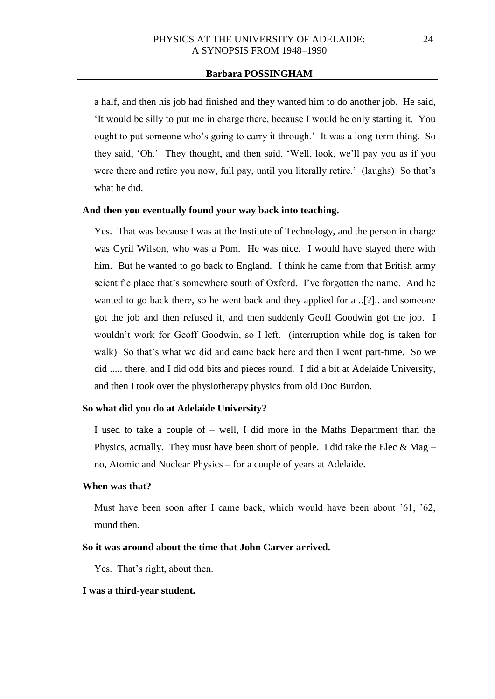a half, and then his job had finished and they wanted him to do another job. He said, 'It would be silly to put me in charge there, because I would be only starting it. You ought to put someone who's going to carry it through.' It was a long-term thing. So they said, 'Oh.' They thought, and then said, 'Well, look, we'll pay you as if you were there and retire you now, full pay, until you literally retire.' (laughs) So that's what he did.

## **And then you eventually found your way back into teaching.**

Yes. That was because I was at the Institute of Technology, and the person in charge was Cyril Wilson, who was a Pom. He was nice. I would have stayed there with him. But he wanted to go back to England. I think he came from that British army scientific place that's somewhere south of Oxford. I've forgotten the name. And he wanted to go back there, so he went back and they applied for a ..[?].. and someone got the job and then refused it, and then suddenly Geoff Goodwin got the job. I wouldn't work for Geoff Goodwin, so I left. (interruption while dog is taken for walk) So that's what we did and came back here and then I went part-time. So we did ..... there, and I did odd bits and pieces round. I did a bit at Adelaide University, and then I took over the physiotherapy physics from old Doc Burdon.

#### **So what did you do at Adelaide University?**

I used to take a couple of – well, I did more in the Maths Department than the Physics, actually. They must have been short of people. I did take the Elec  $\&$  Mag – no, Atomic and Nuclear Physics – for a couple of years at Adelaide.

# **When was that?**

Must have been soon after I came back, which would have been about '61, '62, round then.

## **So it was around about the time that John Carver arrived.**

Yes. That's right, about then.

## **I was a third-year student.**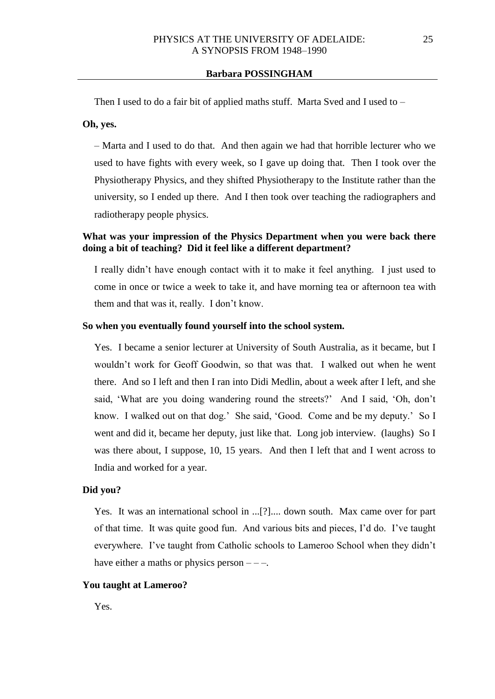Then I used to do a fair bit of applied maths stuff. Marta Sved and I used to –

## **Oh, yes.**

– Marta and I used to do that. And then again we had that horrible lecturer who we used to have fights with every week, so I gave up doing that. Then I took over the Physiotherapy Physics, and they shifted Physiotherapy to the Institute rather than the university, so I ended up there. And I then took over teaching the radiographers and radiotherapy people physics.

# **What was your impression of the Physics Department when you were back there doing a bit of teaching? Did it feel like a different department?**

I really didn't have enough contact with it to make it feel anything. I just used to come in once or twice a week to take it, and have morning tea or afternoon tea with them and that was it, really. I don't know.

## **So when you eventually found yourself into the school system.**

Yes. I became a senior lecturer at University of South Australia, as it became, but I wouldn't work for Geoff Goodwin, so that was that. I walked out when he went there. And so I left and then I ran into Didi Medlin, about a week after I left, and she said, 'What are you doing wandering round the streets?' And I said, 'Oh, don't know. I walked out on that dog.' She said, 'Good. Come and be my deputy.' So I went and did it, became her deputy, just like that. Long job interview. (laughs) So I was there about, I suppose, 10, 15 years. And then I left that and I went across to India and worked for a year.

### **Did you?**

Yes. It was an international school in ...[?].... down south. Max came over for part of that time. It was quite good fun. And various bits and pieces, I'd do. I've taught everywhere. I've taught from Catholic schools to Lameroo School when they didn't have either a maths or physics person  $---$ .

### **You taught at Lameroo?**

Yes.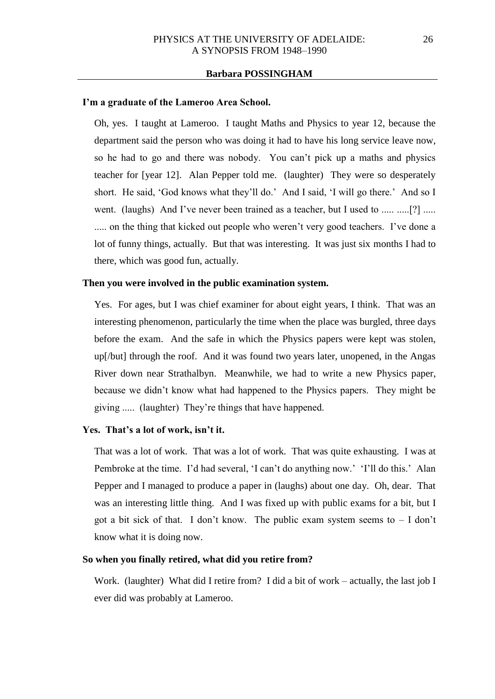#### **I'm a graduate of the Lameroo Area School.**

Oh, yes. I taught at Lameroo. I taught Maths and Physics to year 12, because the department said the person who was doing it had to have his long service leave now, so he had to go and there was nobody. You can't pick up a maths and physics teacher for [year 12]. Alan Pepper told me. (laughter) They were so desperately short. He said, 'God knows what they'll do.' And I said, 'I will go there.' And so I went. (laughs) And I've never been trained as a teacher, but I used to ..... .....[?] ..... ..... on the thing that kicked out people who weren't very good teachers. I've done a lot of funny things, actually. But that was interesting. It was just six months I had to there, which was good fun, actually.

#### **Then you were involved in the public examination system.**

Yes. For ages, but I was chief examiner for about eight years, I think. That was an interesting phenomenon, particularly the time when the place was burgled, three days before the exam. And the safe in which the Physics papers were kept was stolen, up[/but] through the roof. And it was found two years later, unopened, in the Angas River down near Strathalbyn. Meanwhile, we had to write a new Physics paper, because we didn't know what had happened to the Physics papers. They might be giving ..... (laughter) They're things that have happened.

#### **Yes. That's a lot of work, isn't it.**

That was a lot of work. That was a lot of work. That was quite exhausting. I was at Pembroke at the time. I'd had several, 'I can't do anything now.' 'I'll do this.' Alan Pepper and I managed to produce a paper in (laughs) about one day. Oh, dear. That was an interesting little thing. And I was fixed up with public exams for a bit, but I got a bit sick of that. I don't know. The public exam system seems to  $- I$  don't know what it is doing now.

## **So when you finally retired, what did you retire from?**

Work. (laughter) What did I retire from? I did a bit of work – actually, the last job I ever did was probably at Lameroo.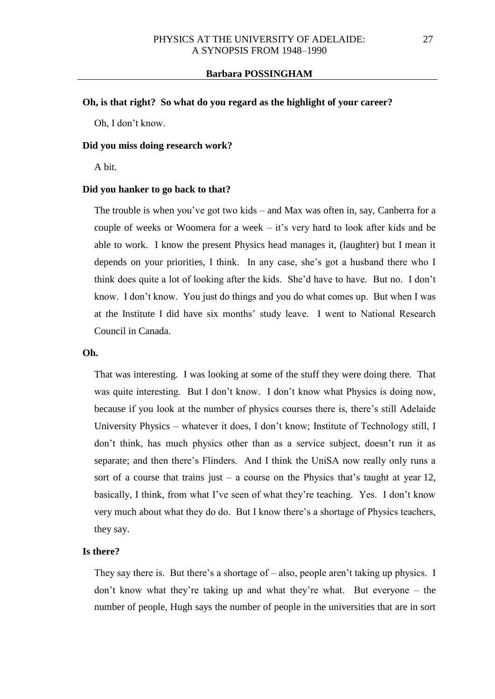## **Oh, is that right? So what do you regard as the highlight of your career?**

Oh, I don't know.

#### **Did you miss doing research work?**

A bit.

#### **Did you hanker to go back to that?**

The trouble is when you've got two kids – and Max was often in, say, Canberra for a couple of weeks or Woomera for a week – it's very hard to look after kids and be able to work. I know the present Physics head manages it, (laughter) but I mean it depends on your priorities, I think. In any case, she's got a husband there who I think does quite a lot of looking after the kids. She'd have to have. But no. I don't know. I don't know. You just do things and you do what comes up. But when I was at the Institute I did have six months' study leave. I went to National Research Council in Canada.

#### **Oh.**

That was interesting. I was looking at some of the stuff they were doing there. That was quite interesting. But I don't know. I don't know what Physics is doing now, because if you look at the number of physics courses there is, there's still Adelaide University Physics – whatever it does, I don't know; Institute of Technology still, I don't think, has much physics other than as a service subject, doesn't run it as separate; and then there's Flinders. And I think the UniSA now really only runs a sort of a course that trains just  $-$  a course on the Physics that's taught at year 12, basically, I think, from what I've seen of what they're teaching. Yes. I don't know very much about what they do do. But I know there's a shortage of Physics teachers, they say.

## **Is there?**

They say there is. But there's a shortage of – also, people aren't taking up physics. I don't know what they're taking up and what they're what. But everyone – the number of people, Hugh says the number of people in the universities that are in sort